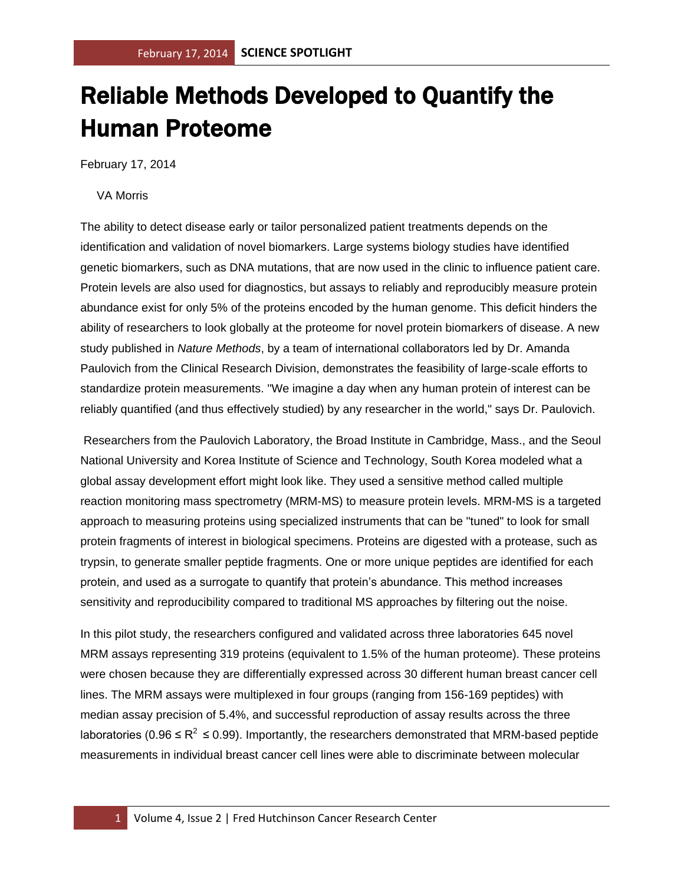## Reliable Methods Developed to Quantify the Human Proteome

February 17, 2014

## VA Morris

The ability to detect disease early or tailor personalized patient treatments depends on the identification and validation of novel biomarkers. Large systems biology studies have identified genetic biomarkers, such as DNA mutations, that are now used in the clinic to influence patient care. Protein levels are also used for diagnostics, but assays to reliably and reproducibly measure protein abundance exist for only 5% of the proteins encoded by the human genome. This deficit hinders the ability of researchers to look globally at the proteome for novel protein biomarkers of disease. A new study published in *Nature Methods*, by a team of international collaborators led by Dr. Amanda Paulovich from the Clinical Research Division, demonstrates the feasibility of large-scale efforts to standardize protein measurements. "We imagine a day when any human protein of interest can be reliably quantified (and thus effectively studied) by any researcher in the world," says Dr. Paulovich.

Researchers from the Paulovich Laboratory, the Broad Institute in Cambridge, Mass., and the Seoul National University and Korea Institute of Science and Technology, South Korea modeled what a global assay development effort might look like. They used a sensitive method called multiple reaction monitoring mass spectrometry (MRM-MS) to measure protein levels. MRM-MS is a targeted approach to measuring proteins using specialized instruments that can be "tuned" to look for small protein fragments of interest in biological specimens. Proteins are digested with a protease, such as trypsin, to generate smaller peptide fragments. One or more unique peptides are identified for each protein, and used as a surrogate to quantify that protein's abundance. This method increases sensitivity and reproducibility compared to traditional MS approaches by filtering out the noise.

In this pilot study, the researchers configured and validated across three laboratories 645 novel MRM assays representing 319 proteins (equivalent to 1.5% of the human proteome). These proteins were chosen because they are differentially expressed across 30 different human breast cancer cell lines. The MRM assays were multiplexed in four groups (ranging from 156-169 peptides) with median assay precision of 5.4%, and successful reproduction of assay results across the three laboratories (0.96  $\leq R^2 \leq$  0.99). Importantly, the researchers demonstrated that MRM-based peptide measurements in individual breast cancer cell lines were able to discriminate between molecular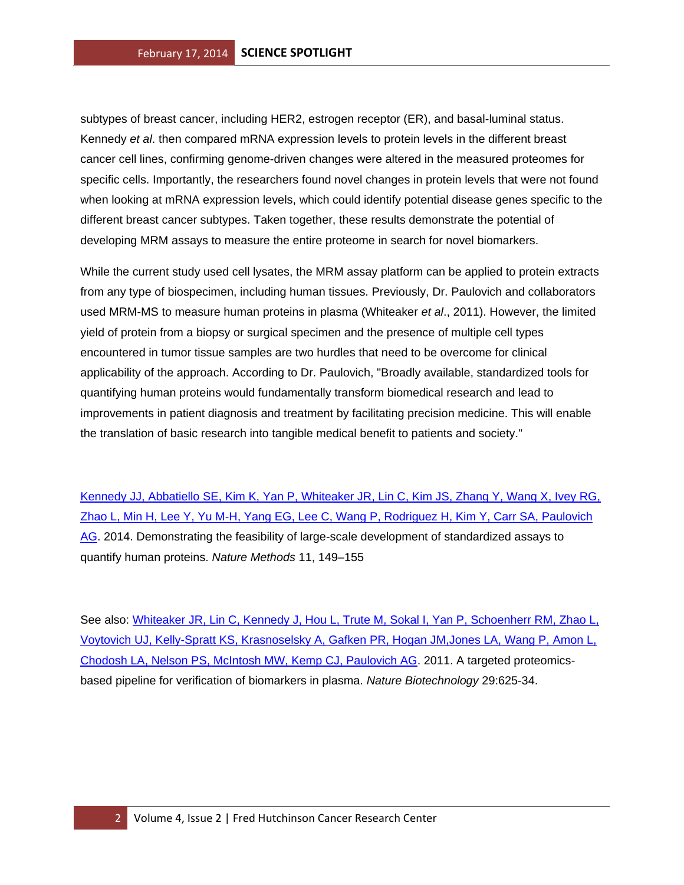subtypes of breast cancer, including HER2, estrogen receptor (ER), and basal-luminal status. Kennedy *et al*. then compared mRNA expression levels to protein levels in the different breast cancer cell lines, confirming genome-driven changes were altered in the measured proteomes for specific cells. Importantly, the researchers found novel changes in protein levels that were not found when looking at mRNA expression levels, which could identify potential disease genes specific to the different breast cancer subtypes. Taken together, these results demonstrate the potential of developing MRM assays to measure the entire proteome in search for novel biomarkers.

While the current study used cell lysates, the MRM assay platform can be applied to protein extracts from any type of biospecimen, including human tissues. Previously, Dr. Paulovich and collaborators used MRM-MS to measure human proteins in plasma (Whiteaker *et al*., 2011). However, the limited yield of protein from a biopsy or surgical specimen and the presence of multiple cell types encountered in tumor tissue samples are two hurdles that need to be overcome for clinical applicability of the approach. According to Dr. Paulovich, "Broadly available, standardized tools for quantifying human proteins would fundamentally transform biomedical research and lead to improvements in patient diagnosis and treatment by facilitating precision medicine. This will enable the translation of basic research into tangible medical benefit to patients and society."

[Kennedy JJ, Abbatiello SE, Kim K, Yan P, Whiteaker JR, Lin C, Kim JS, Zhang Y, Wang X, Ivey RG,](http://www.ncbi.nlm.nih.gov/pubmed/24317253?otool=fhcrclib)  [Zhao L, Min H, Lee Y, Yu M-H, Yang EG, Lee C, Wang P, Rodriguez H, Kim Y, Carr SA, Paulovich](http://www.ncbi.nlm.nih.gov/pubmed/24317253?otool=fhcrclib)  [AG.](http://www.ncbi.nlm.nih.gov/pubmed/24317253?otool=fhcrclib) 2014. Demonstrating the feasibility of large-scale development of standardized assays to quantify human proteins. *Nature Methods* 11, 149–155

See also: Whiteaker JR, Lin C, Kennedy J, Hou L, Trute M, Sokal I, Yan P, Schoenherr RM, Zhao L, [Voytovich UJ, Kelly-Spratt KS, Krasnoselsky A, Gafken PR, Hogan JM,Jones LA, Wang P, Amon L,](http://www.ncbi.nlm.nih.gov/pubmed/21685906?otool=fhcrclib)  [Chodosh LA, Nelson PS, McIntosh MW, Kemp CJ, Paulovich AG.](http://www.ncbi.nlm.nih.gov/pubmed/21685906?otool=fhcrclib) 2011. A targeted proteomicsbased pipeline for verification of biomarkers in plasma. *Nature Biotechnology* 29:625-34.